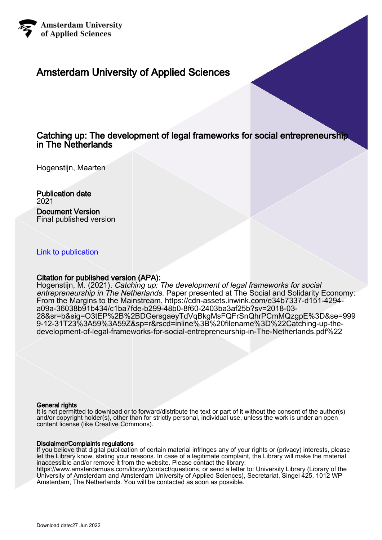

# Amsterdam University of Applied Sciences

## Catching up: The development of legal frameworks for social entrepreneurship in The Netherlands

Hogenstijn, Maarten

Publication date 2021 Document Version Final published version

[Link to publication](https://research.hva.nl/en/publications/f8bb9354-0e08-4fc1-a9b7-f5ae2dba9928)

#### Citation for published version (APA):

Hogenstijn, M. (2021). Catching up: The development of legal frameworks for social entrepreneurship in The Netherlands. Paper presented at The Social and Solidarity Economy: From the Margins to the Mainstream. [https://cdn-assets.inwink.com/e34b7337-d151-4294](https://cdn-assets.inwink.com/e34b7337-d151-4294-a09a-36038b91b434/c1ba7fde-b299-48b0-8f60-2403ba3af25b?sv=2018-03-28&sr=b&sig=O3tEP%2B%2BDGersgaeyTdVqBkgMsFQFrSnQhrPCmMQzgpE%3D&se=9999-12-31T23%3A59%3A59Z&sp=r&rscd=inline%3B%20filename%3D%22Catching-up-the-development-of-legal-frameworks-for-social-entrepreneurship-in-The-Netherlands.pdf%22) [a09a-36038b91b434/c1ba7fde-b299-48b0-8f60-2403ba3af25b?sv=2018-03-](https://cdn-assets.inwink.com/e34b7337-d151-4294-a09a-36038b91b434/c1ba7fde-b299-48b0-8f60-2403ba3af25b?sv=2018-03-28&sr=b&sig=O3tEP%2B%2BDGersgaeyTdVqBkgMsFQFrSnQhrPCmMQzgpE%3D&se=9999-12-31T23%3A59%3A59Z&sp=r&rscd=inline%3B%20filename%3D%22Catching-up-the-development-of-legal-frameworks-for-social-entrepreneurship-in-The-Netherlands.pdf%22) [28&sr=b&sig=O3tEP%2B%2BDGersgaeyTdVqBkgMsFQFrSnQhrPCmMQzgpE%3D&se=999](https://cdn-assets.inwink.com/e34b7337-d151-4294-a09a-36038b91b434/c1ba7fde-b299-48b0-8f60-2403ba3af25b?sv=2018-03-28&sr=b&sig=O3tEP%2B%2BDGersgaeyTdVqBkgMsFQFrSnQhrPCmMQzgpE%3D&se=9999-12-31T23%3A59%3A59Z&sp=r&rscd=inline%3B%20filename%3D%22Catching-up-the-development-of-legal-frameworks-for-social-entrepreneurship-in-The-Netherlands.pdf%22) [9-12-31T23%3A59%3A59Z&sp=r&rscd=inline%3B%20filename%3D%22Catching-up-the](https://cdn-assets.inwink.com/e34b7337-d151-4294-a09a-36038b91b434/c1ba7fde-b299-48b0-8f60-2403ba3af25b?sv=2018-03-28&sr=b&sig=O3tEP%2B%2BDGersgaeyTdVqBkgMsFQFrSnQhrPCmMQzgpE%3D&se=9999-12-31T23%3A59%3A59Z&sp=r&rscd=inline%3B%20filename%3D%22Catching-up-the-development-of-legal-frameworks-for-social-entrepreneurship-in-The-Netherlands.pdf%22)[development-of-legal-frameworks-for-social-entrepreneurship-in-The-Netherlands.pdf%22](https://cdn-assets.inwink.com/e34b7337-d151-4294-a09a-36038b91b434/c1ba7fde-b299-48b0-8f60-2403ba3af25b?sv=2018-03-28&sr=b&sig=O3tEP%2B%2BDGersgaeyTdVqBkgMsFQFrSnQhrPCmMQzgpE%3D&se=9999-12-31T23%3A59%3A59Z&sp=r&rscd=inline%3B%20filename%3D%22Catching-up-the-development-of-legal-frameworks-for-social-entrepreneurship-in-The-Netherlands.pdf%22)

#### General rights

It is not permitted to download or to forward/distribute the text or part of it without the consent of the author(s) and/or copyright holder(s), other than for strictly personal, individual use, unless the work is under an open content license (like Creative Commons).

#### Disclaimer/Complaints regulations

If you believe that digital publication of certain material infringes any of your rights or (privacy) interests, please let the Library know, stating your reasons. In case of a legitimate complaint, the Library will make the material inaccessible and/or remove it from the website. Please contact the library:

https://www.amsterdamuas.com/library/contact/questions, or send a letter to: University Library (Library of the University of Amsterdam and Amsterdam University of Applied Sciences), Secretariat, Singel 425, 1012 WP Amsterdam, The Netherlands. You will be contacted as soon as possible.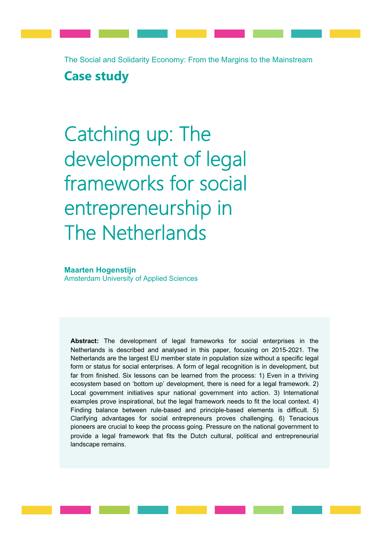The Social and Solidarity Economy: From the Margins to the Mainstream **Case study**

Catching up: The development of legal frameworks for social entrepreneurship in The Netherlands

#### **Maarten Hogenstijn**

Amsterdam University of Applied Sciences

**Abstract:** The development of legal frameworks for social enterprises in the Netherlands is described and analysed in this paper, focusing on 2015-2021. The Netherlands are the largest EU member state in population size without a specific legal form or status for social enterprises. A form of legal recognition is in development, but far from finished. Six lessons can be learned from the process: 1) Even in a thriving ecosystem based on 'bottom up' development, there is need for a legal framework. 2) Local government initiatives spur national government into action. 3) International examples prove inspirational, but the legal framework needs to fit the local context. 4) Finding balance between rule-based and principle-based elements is difficult. 5) Clarifying advantages for social entrepreneurs proves challenging. 6) Tenacious pioneers are crucial to keep the process going. Pressure on the national government to provide a legal framework that fits the Dutch cultural, political and entrepreneurial landscape remains.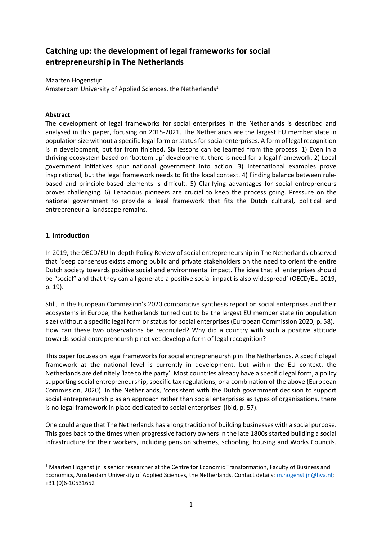## **Catching up: the development of legal frameworks for social entrepreneurship in The Netherlands**

Maarten Hogenstijn Amsterdam University of Applied Sciences, the Netherlands<sup>1</sup>

#### **Abstract**

The development of legal frameworks for social enterprises in the Netherlands is described and analysed in this paper, focusing on 2015-2021. The Netherlands are the largest EU member state in population size without a specific legal form or status for social enterprises. A form of legal recognition is in development, but far from finished. Six lessons can be learned from the process: 1) Even in a thriving ecosystem based on 'bottom up' development, there is need for a legal framework. 2) Local government initiatives spur national government into action. 3) International examples prove inspirational, but the legal framework needs to fit the local context. 4) Finding balance between rulebased and principle-based elements is difficult. 5) Clarifying advantages for social entrepreneurs proves challenging. 6) Tenacious pioneers are crucial to keep the process going. Pressure on the national government to provide a legal framework that fits the Dutch cultural, political and entrepreneurial landscape remains.

#### **1. Introduction**

In 2019, the OECD/EU In-depth Policy Review of social entrepreneurship in The Netherlands observed that 'deep consensus exists among public and private stakeholders on the need to orient the entire Dutch society towards positive social and environmental impact. The idea that all enterprises should be "social" and that they can all generate a positive social impact is also widespread' (OECD/EU 2019, p. 19).

Still, in the European Commission's 2020 comparative synthesis report on social enterprises and their ecosystems in Europe, the Netherlands turned out to be the largest EU member state (in population size) without a specific legal form or status for social enterprises (European Commission 2020, p. 58). How can these two observations be reconciled? Why did a country with such a positive attitude towards social entrepreneurship not yet develop a form of legal recognition?

This paper focuses on legal frameworks for social entrepreneurship in The Netherlands. A specific legal framework at the national level is currently in development, but within the EU context, the Netherlands are definitely 'late to the party'. Most countries already have a specific legal form, a policy supporting social entrepreneurship, specific tax regulations, or a combination of the above (European Commission, 2020). In the Netherlands, 'consistent with the Dutch government decision to support social entrepreneurship as an approach rather than social enterprises as types of organisations, there is no legal framework in place dedicated to social enterprises' (ibid, p. 57).

One could argue that The Netherlands has a long tradition of building businesses with a social purpose. This goes back to the times when progressive factory owners in the late 1800s started building a social infrastructure for their workers, including pension schemes, schooling, housing and Works Councils.

<sup>&</sup>lt;sup>1</sup> Maarten Hogenstijn is senior researcher at the Centre for Economic Transformation, Faculty of Business and Economics, Amsterdam University of Applied Sciences, the Netherlands. Contact details: [m.hogenstijn@hva.nl;](mailto:m.hogenstijn@hva.nl) +31 (0)6-10531652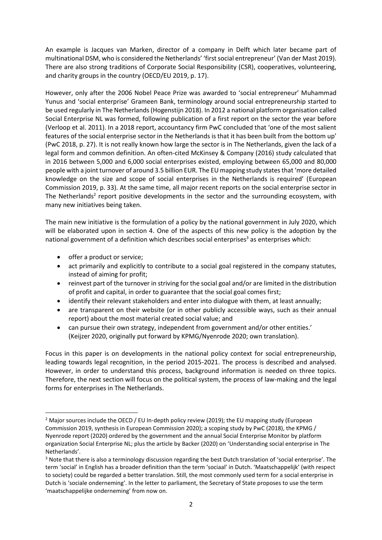An example is Jacques van Marken, director of a company in Delft which later became part of multinational DSM, who is considered the Netherlands' 'first social entrepreneur' (Van der Mast 2019). There are also strong traditions of Corporate Social Responsibility (CSR), cooperatives, volunteering, and charity groups in the country (OECD/EU 2019, p. 17).

However, only after the 2006 Nobel Peace Prize was awarded to 'social entrepreneur' Muhammad Yunus and 'social enterprise' Grameen Bank, terminology around social entrepreneurship started to be used regularly in The Netherlands (Hogenstijn 2018). In 2012 a national platform organisation called Social Enterprise NL was formed, following publication of a first report on the sector the year before (Verloop et al. 2011). In a 2018 report, accountancy firm PwC concluded that 'one of the most salient features of the social enterprise sector in the Netherlands is that it has been built from the bottom up' (PwC 2018, p. 27). It is not really known how large the sector is in The Netherlands, given the lack of a legal form and common definition. An often-cited McKinsey & Company (2016) study calculated that in 2016 between 5,000 and 6,000 social enterprises existed, employing between 65,000 and 80,000 people with a joint turnover of around 3.5 billion EUR. The EU mapping study states that 'more detailed knowledge on the size and scope of social enterprises in the Netherlands is required' (European Commission 2019, p. 33). At the same time, all major recent reports on the social enterprise sector in The Netherlands<sup>2</sup> report positive developments in the sector and the surrounding ecosystem, with many new initiatives being taken.

The main new initiative is the formulation of a policy by the national government in July 2020, which will be elaborated upon in section 4. One of the aspects of this new policy is the adoption by the national government of a definition which describes social enterprises<sup>3</sup> as enterprises which:

- $\bullet$  offer a product or service;
- act primarily and explicitly to contribute to a social goal registered in the company statutes, instead of aiming for profit;
- reinvest part of the turnover in striving for the social goal and/or are limited in the distribution of profit and capital, in order to guarantee that the social goal comes first;
- identify their relevant stakeholders and enter into dialogue with them, at least annually;
- are transparent on their website (or in other publicly accessible ways, such as their annual report) about the most material created social value; and
- can pursue their own strategy, independent from government and/or other entities.' (Keijzer 2020, originally put forward by KPMG/Nyenrode 2020; own translation).

Focus in this paper is on developments in the national policy context for social entrepreneurship, leading towards legal recognition, in the period 2015-2021. The process is described and analysed. However, in order to understand this process, background information is needed on three topics. Therefore, the next section will focus on the political system, the process of law-making and the legal forms for enterprises in The Netherlands.

<sup>&</sup>lt;sup>2</sup> Major sources include the OECD / EU In-depth policy review (2019); the EU mapping study (European Commission 2019, synthesis in European Commission 2020); a scoping study by PwC (2018), the KPMG / Nyenrode report (2020) ordered by the government and the annual Social Enterprise Monitor by platform organization Social Enterprise NL; plus the article by Backer (2020) on 'Understanding social enterprise in The Netherlands'.

<sup>&</sup>lt;sup>3</sup> Note that there is also a terminology discussion regarding the best Dutch translation of 'social enterprise'. The term 'social' in English has a broader definition than the term 'sociaal' in Dutch. 'Maatschappelijk' (with respect to society) could be regarded a better translation. Still, the most commonly used term for a social enterprise in Dutch is 'sociale onderneming'. In the letter to parliament, the Secretary of State proposes to use the term 'maatschappelijke onderneming' from now on.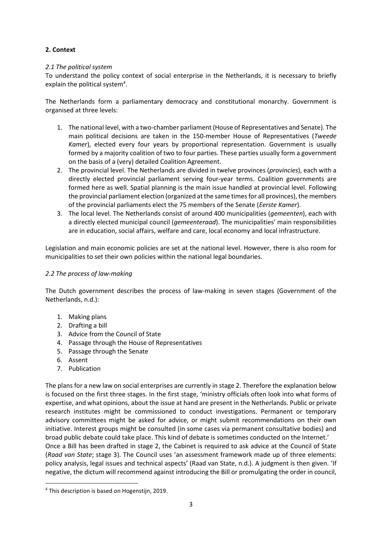## **2. Context**

### *2.1 The political system*

To understand the policy context of social enterprise in the Netherlands, it is necessary to briefly explain the political system<sup>4</sup>.

The Netherlands form a parliamentary democracy and constitutional monarchy. Government is organised at three levels:

- 1. The national level, with a two-chamber parliament (House of Representatives and Senate). The main political decisions are taken in the 150-member House of Representatives (*Tweede Kamer*), elected every four years by proportional representation. Government is usually formed by a majority coalition of two to four parties. These parties usually form a government on the basis of a (very) detailed Coalition Agreement.
- 2. The provincial level. The Netherlands are divided in twelve provinces (*provincies*), each with a directly elected provincial parliament serving four-year terms. Coalition governments are formed here as well. Spatial planning is the main issue handled at provincial level. Following the provincial parliament election (organized at the same times for all provinces), the members of the provincial parliaments elect the 75 members of the Senate (*Eerste Kamer*).
- 3. The local level. The Netherlands consist of around 400 municipalities (*gemeenten*), each with a directly elected municipal council (*gemeenteraad*). The municipalities' main responsibilities are in education, social affairs, welfare and care, local economy and local infrastructure.

Legislation and main economic policies are set at the national level. However, there is also room for municipalities to set their own policies within the national legal boundaries.

#### *2.2 The process of law-making*

The Dutch government describes the process of law-making in seven stages (Government of the Netherlands, n.d.):

- 1. Making plans
- 2. Drafting a bill
- 3. Advice from the Council of State
- 4. Passage through the House of Representatives
- 5. Passage through the Senate
- 6. Assent
- 7. Publication

The plans for a new law on social enterprises are currently in stage 2. Therefore the explanation below is focused on the first three stages. In the first stage, 'ministry officials often look into what forms of expertise, and what opinions, about the issue at hand are present in the Netherlands. Public or private research institutes might be commissioned to conduct investigations. Permanent or temporary advisory committees might be asked for advice, or might submit recommendations on their own initiative. Interest groups might be consulted (in some cases via permanent consultative bodies) and broad public debate could take place. This kind of debate is sometimes conducted on the Internet.' Once a Bill has been drafted in stage 2, the Cabinet is required to ask advice at the Council of State (*Raad van State*; stage 3). The Council uses 'an assessment framework made up of three elements: policy analysis, legal issues and technical aspects' (Raad van State, n.d.). A judgment is then given. 'If negative, the dictum will recommend against introducing the Bill or promulgating the order in council,

 <sup>4</sup> This description is based on Hogenstijn, 2019.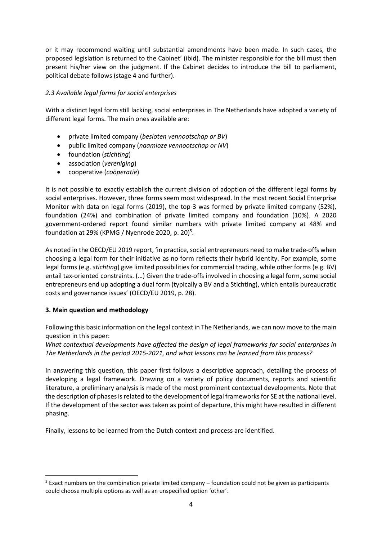or it may recommend waiting until substantial amendments have been made. In such cases, the proposed legislation is returned to the Cabinet' (ibid). The minister responsible for the bill must then present his/her view on the judgment. If the Cabinet decides to introduce the bill to parliament, political debate follows (stage 4 and further).

### *2.3 Available legal forms for social enterprises*

With a distinct legal form still lacking, social enterprises in The Netherlands have adopted a variety of different legal forms. The main ones available are:

- x private limited company (*besloten vennootschap or BV*)
- x public limited company (*naamloze vennootschap or NV*)
- **•** foundation (*stichting*)
- **•** association (*vereniging*)
- x cooperative (*coöperatie*)

It is not possible to exactly establish the current division of adoption of the different legal forms by social enterprises. However, three forms seem most widespread. In the most recent Social Enterprise Monitor with data on legal forms (2019), the top-3 was formed by private limited company (52%), foundation (24%) and combination of private limited company and foundation (10%). A 2020 government-ordered report found similar numbers with private limited company at 48% and foundation at 29% (KPMG / Nyenrode 2020, p. 20)<sup>5</sup>.

As noted in the OECD/EU 2019 report, 'in practice, social entrepreneurs need to make trade-offs when choosing a legal form for their initiative as no form reflects their hybrid identity. For example, some legal forms (e.g. *stichting*) give limited possibilities for commercial trading, while other forms (e.g. BV) entail tax-oriented constraints. (…) Given the trade-offs involved in choosing a legal form, some social entrepreneurs end up adopting a dual form (typically a BV and a Stichting), which entails bureaucratic costs and governance issues' (OECD/EU 2019, p. 28).

### **3. Main question and methodology**

Following this basic information on the legal context in The Netherlands, we can now move to the main question in this paper:

*What contextual developments have affected the design of legal frameworks for social enterprises in The Netherlands in the period 2015-2021, and what lessons can be learned from this process?*

In answering this question, this paper first follows a descriptive approach, detailing the process of developing a legal framework. Drawing on a variety of policy documents, reports and scientific literature, a preliminary analysis is made of the most prominent contextual developments. Note that the description of phases is related to the development of legal frameworks for SE at the national level. If the development of the sector was taken as point of departure, this might have resulted in different phasing.

Finally, lessons to be learned from the Dutch context and process are identified.

 <sup>5</sup> Exact numbers on the combination private limited company – foundation could not be given as participants could choose multiple options as well as an unspecified option 'other'.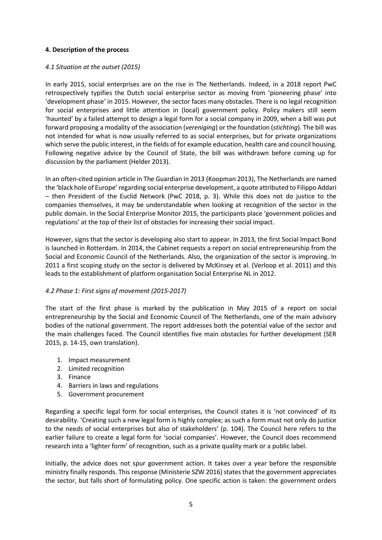#### **4. Description of the process**

#### *4.1 Situation at the outset (2015)*

In early 2015, social enterprises are on the rise in The Netherlands. Indeed, in a 2018 report PwC retrospectively typifies the Dutch social enterprise sector as moving from 'pioneering phase' into 'development phase' in 2015. However, the sector faces many obstacles. There is no legal recognition for social enterprises and little attention in (local) government policy. Policy makers still seem 'haunted' by a failed attempt to design a legal form for a social company in 2009, when a bill was put forward proposing a modality of the association (*vereniging*) or the foundation (*stichting*). The bill was not intended for what is now usually referred to as social enterprises, but for private organizations which serve the public interest, in the fields of for example education, health care and council housing. Following negative advice by the Council of State, the bill was withdrawn before coming up for discussion by the parliament (Helder 2013).

In an often-cited opinion article in The Guardian in 2013 (Koopman 2013), The Netherlands are named the 'black hole of Europe' regarding social enterprise development, a quote attributed to Filippo Addari – then President of the Euclid Network (PwC 2018, p. 3). While this does not do justice to the companies themselves, it may be understandable when looking at recognition of the sector in the public domain. In the Social Enterprise Monitor 2015, the participants place 'government policies and regulations' at the top of their list of obstacles for increasing their social impact.

However, signs that the sector is developing also start to appear. In 2013, the first Social Impact Bond is launched in Rotterdam. In 2014, the Cabinet requests a report on social entrepreneurship from the Social and Economic Council of the Netherlands. Also, the organization of the sector is improving. In 2011 a first scoping study on the sector is delivered by McKinsey et al. (Verloop et al. 2011) and this leads to the establishment of platform organisation Social Enterprise NL in 2012.

#### *4.2 Phase 1: First signs of movement (2015-2017)*

The start of the first phase is marked by the publication in May 2015 of a report on social entrepreneurship by the Social and Economic Council of The Netherlands, one of the main advisory bodies of the national government. The report addresses both the potential value of the sector and the main challenges faced. The Council identifies five main obstacles for further development (SER 2015, p. 14-15, own translation).

- 1. Impact measurement
- 2. Limited recognition
- 3. Finance
- 4. Barriers in laws and regulations
- 5. Government procurement

Regarding a specific legal form for social enterprises, the Council states it is 'not convinced' of its desirability. 'Creating such a new legal form is highly complex; as such a form must not only do justice to the needs of social enterprises but also of stakeholders' (p. 104). The Council here refers to the earlier failure to create a legal form for 'social companies'. However, the Council does recommend research into a 'lighter form' of recognition, such as a private quality mark or a public label.

Initially, the advice does not spur government action. It takes over a year before the responsible ministry finally responds. This response (Ministerie SZW 2016) states that the government appreciates the sector, but falls short of formulating policy. One specific action is taken: the government orders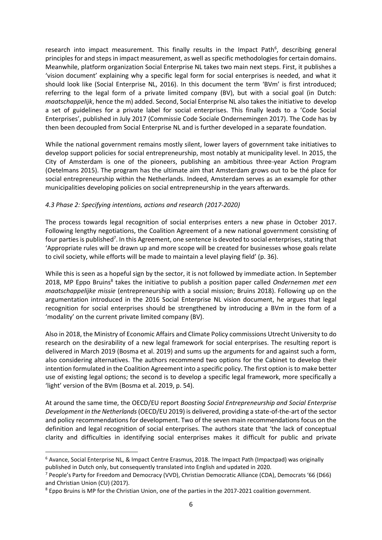research into impact measurement. This finally results in the Impact Path<sup>6</sup>, describing general principles for and steps in impact measurement, as well as specific methodologies for certain domains. Meanwhile, platform organization Social Enterprise NL takes two main next steps. First, it publishes a 'vision document' explaining why a specific legal form for social enterprises is needed, and what it should look like (Social Enterprise NL, 2016). In this document the term 'BVm' is first introduced; referring to the legal form of a private limited company (BV), but with a social goal (in Dutch: *maatschappelijk*, hence the m) added. Second, Social Enterprise NL also takes the initiative to develop a set of guidelines for a private label for social enterprises. This finally leads to a 'Code Social Enterprises', published in July 2017 (Commissie Code Sociale Ondernemingen 2017). The Code has by then been decoupled from Social Enterprise NL and is further developed in a separate foundation.

While the national government remains mostly silent, lower layers of government take initiatives to develop support policies for social entrepreneurship, most notably at municipality level. In 2015, the City of Amsterdam is one of the pioneers, publishing an ambitious three-year Action Program (Oetelmans 2015). The program has the ultimate aim that Amsterdam grows out to be thé place for social entrepreneurship within the Netherlands. Indeed, Amsterdam serves as an example for other municipalities developing policies on social entrepreneurship in the years afterwards.

#### *4.3 Phase 2: Specifying intentions, actions and research (2017-2020)*

The process towards legal recognition of social enterprises enters a new phase in October 2017. Following lengthy negotiations, the Coalition Agreement of a new national government consisting of four parties is published<sup>7</sup>. In this Agreement, one sentence is devoted to social enterprises, stating that 'Appropriate rules will be drawn up and more scope will be created for businesses whose goals relate to civil society, while efforts will be made to maintain a level playing field' (p. 36).

While this is seen as a hopeful sign by the sector, it is not followed by immediate action. In September 2018, MP Eppo Bruins8 takes the initiative to publish a position paper called *Ondernemen met een maatschappelijke missie* (entrepreneurship with a social mission; Bruins 2018). Following up on the argumentation introduced in the 2016 Social Enterprise NL vision document, he argues that legal recognition for social enterprises should be strengthened by introducing a BVm in the form of a 'modality' on the current private limited company (BV).

Also in 2018, the Ministry of Economic Affairs and Climate Policy commissions Utrecht University to do research on the desirability of a new legal framework for social enterprises. The resulting report is delivered in March 2019 (Bosma et al. 2019) and sums up the arguments for and against such a form, also considering alternatives. The authors recommend two options for the Cabinet to develop their intention formulated in the Coalition Agreement into a specific policy. The first option is to make better use of existing legal options; the second is to develop a specific legal framework, more specifically a 'light' version of the BVm (Bosma et al. 2019, p. 54).

At around the same time, the OECD/EU report *Boosting Social Entrepreneurship and Social Enterprise Development in the Netherlands* (OECD/EU 2019) is delivered, providing a state-of-the-art of the sector and policy recommendations for development. Two of the seven main recommendations focus on the definition and legal recognition of social enterprises. The authors state that 'the lack of conceptual clarity and difficulties in identifying social enterprises makes it difficult for public and private

 <sup>6</sup> Avance, Social Enterprise NL, & Impact Centre Erasmus, 2018. The Impact Path (Impactpad) was originally published in Dutch only, but consequently translated into English and updated in 2020.

<sup>7</sup> People's Party for Freedom and Democracy (VVD), Christian Democratic Alliance (CDA), Democrats '66 (D66) and Christian Union (CU) (2017).

<sup>8</sup> Eppo Bruins is MP for the Christian Union, one of the parties in the 2017-2021 coalition government.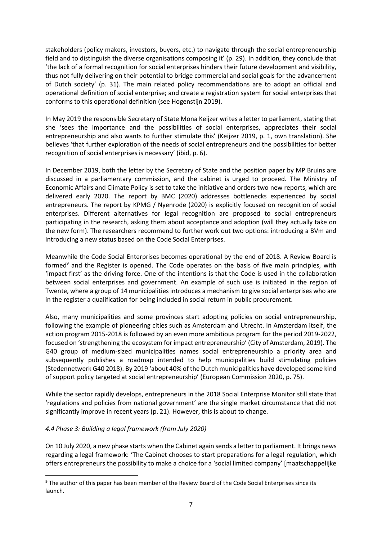stakeholders (policy makers, investors, buyers, etc.) to navigate through the social entrepreneurship field and to distinguish the diverse organisations composing it' (p. 29). In addition, they conclude that 'the lack of a formal recognition for social enterprises hinders their future development and visibility, thus not fully delivering on their potential to bridge commercial and social goals for the advancement of Dutch society' (p. 31). The main related policy recommendations are to adopt an official and operational definition of social enterprise; and create a registration system for social enterprises that conforms to this operational definition (see Hogenstijn 2019).

In May 2019 the responsible Secretary of State Mona Keijzer writes a letter to parliament, stating that she 'sees the importance and the possibilities of social enterprises, appreciates their social entrepreneurship and also wants to further stimulate this' (Keijzer 2019, p. 1, own translation). She believes 'that further exploration of the needs of social entrepreneurs and the possibilities for better recognition of social enterprises is necessary' (ibid, p. 6).

In December 2019, both the letter by the Secretary of State and the position paper by MP Bruins are discussed in a parliamentary commission, and the cabinet is urged to proceed. The Ministry of Economic Affairs and Climate Policy is set to take the initiative and orders two new reports, which are delivered early 2020. The report by BMC (2020) addresses bottlenecks experienced by social entrepreneurs. The report by KPMG / Nyenrode (2020) is explicitly focused on recognition of social enterprises. Different alternatives for legal recognition are proposed to social entrepreneurs participating in the research, asking them about acceptance and adoption (will they actually take on the new form). The researchers recommend to further work out two options: introducing a BVm and introducing a new status based on the Code Social Enterprises.

Meanwhile the Code Social Enterprises becomes operational by the end of 2018. A Review Board is formed<sup>9</sup> and the Register is opened. The Code operates on the basis of five main principles, with 'impact first' as the driving force. One of the intentions is that the Code is used in the collaboration between social enterprises and government. An example of such use is initiated in the region of Twente, where a group of 14 municipalities introduces a mechanism to give social enterprises who are in the register a qualification for being included in social return in public procurement.

Also, many municipalities and some provinces start adopting policies on social entrepreneurship, following the example of pioneering cities such as Amsterdam and Utrecht. In Amsterdam itself, the action program 2015-2018 is followed by an even more ambitious program for the period 2019-2022, focused on 'strengthening the ecosystem for impact entrepreneurship' (City of Amsterdam, 2019). The G40 group of medium-sized municipalities names social entrepreneurship a priority area and subsequently publishes a roadmap intended to help municipalities build stimulating policies (Stedennetwerk G40 2018). By 2019 'about 40% of the Dutch municipalities have developed some kind of support policy targeted at social entrepreneurship' (European Commission 2020, p. 75).

While the sector rapidly develops, entrepreneurs in the 2018 Social Enterprise Monitor still state that 'regulations and policies from national government' are the single market circumstance that did not significantly improve in recent years (p. 21). However, this is about to change.

### *4.4 Phase 3: Building a legal framework (from July 2020)*

On 10 July 2020, a new phase starts when the Cabinet again sends a letter to parliament. It brings news regarding a legal framework: 'The Cabinet chooses to start preparations for a legal regulation, which offers entrepreneurs the possibility to make a choice for a 'social limited company' [maatschappelijke

<sup>&</sup>lt;sup>9</sup> The author of this paper has been member of the Review Board of the Code Social Enterprises since its launch.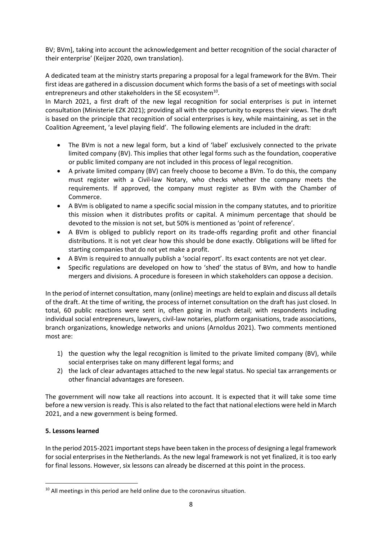BV; BVm], taking into account the acknowledgement and better recognition of the social character of their enterprise' (Keijzer 2020, own translation).

A dedicated team at the ministry starts preparing a proposal for a legal framework for the BVm. Their first ideas are gathered in a discussion document which forms the basis of a set of meetings with social entrepreneurs and other stakeholders in the SE ecosystem<sup>10</sup>.

In March 2021, a first draft of the new legal recognition for social enterprises is put in internet consultation (Ministerie EZK 2021); providing all with the opportunity to express their views. The draft is based on the principle that recognition of social enterprises is key, while maintaining, as set in the Coalition Agreement, 'a level playing field'. The following elements are included in the draft:

- The BVm is not a new legal form, but a kind of 'label' exclusively connected to the private limited company (BV). This implies that other legal forms such as the foundation, cooperative or public limited company are not included in this process of legal recognition.
- A private limited company (BV) can freely choose to become a BVm. To do this, the company must register with a Civil-law Notary, who checks whether the company meets the requirements. If approved, the company must register as BVm with the Chamber of Commerce.
- A BVm is obligated to name a specific social mission in the company statutes, and to prioritize this mission when it distributes profits or capital. A minimum percentage that should be devoted to the mission is not set, but 50% is mentioned as 'point of reference'.
- A BVm is obliged to publicly report on its trade-offs regarding profit and other financial distributions. It is not yet clear how this should be done exactly. Obligations will be lifted for starting companies that do not yet make a profit.
- A BVm is required to annually publish a 'social report'. Its exact contents are not yet clear.
- Specific regulations are developed on how to 'shed' the status of BVm, and how to handle mergers and divisions. A procedure is foreseen in which stakeholders can oppose a decision.

In the period of internet consultation, many (online) meetings are held to explain and discuss all details of the draft. At the time of writing, the process of internet consultation on the draft has just closed. In total, 60 public reactions were sent in, often going in much detail; with respondents including individual social entrepreneurs, lawyers, civil-law notaries, platform organisations, trade associations, branch organizations, knowledge networks and unions (Arnoldus 2021). Two comments mentioned most are:

- 1) the question why the legal recognition is limited to the private limited company (BV), while social enterprises take on many different legal forms; and
- 2) the lack of clear advantages attached to the new legal status. No special tax arrangements or other financial advantages are foreseen.

The government will now take all reactions into account. It is expected that it will take some time before a new version is ready. This is also related to the fact that national elections were held in March 2021, and a new government is being formed.

## **5. Lessons learned**

In the period 2015-2021 important steps have been taken in the process of designing a legal framework for social enterprises in the Netherlands. As the new legal framework is not yet finalized, it is too early for final lessons. However, six lessons can already be discerned at this point in the process.

<sup>&</sup>lt;sup>10</sup> All meetings in this period are held online due to the coronavirus situation.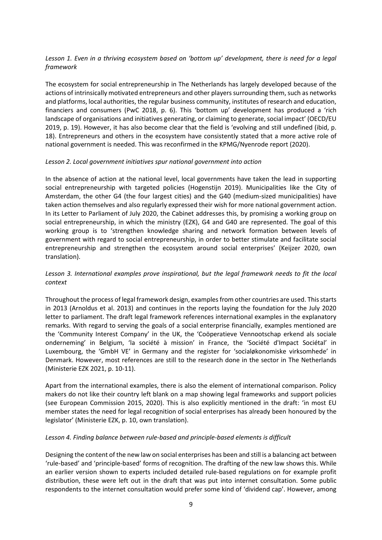### *Lesson 1. Even in a thriving ecosystem based on 'bottom up' development, there is need for a legal framework*

The ecosystem for social entrepreneurship in The Netherlands has largely developed because of the actions of intrinsically motivated entrepreneurs and other players surrounding them, such as networks and platforms, local authorities, the regular business community, institutes of research and education, financiers and consumers (PwC 2018, p. 6). This 'bottom up' development has produced a 'rich landscape of organisations and initiatives generating, or claiming to generate, social impact' (OECD/EU 2019, p. 19). However, it has also become clear that the field is 'evolving and still undefined (ibid, p. 18). Entrepreneurs and others in the ecosystem have consistently stated that a more active role of national government is needed. This was reconfirmed in the KPMG/Nyenrode report (2020).

#### *Lesson 2. Local government initiatives spur national government into action*

In the absence of action at the national level, local governments have taken the lead in supporting social entrepreneurship with targeted policies (Hogenstijn 2019). Municipalities like the City of Amsterdam, the other G4 (the four largest cities) and the G40 (medium-sized municipalities) have taken action themselves and also regularly expressed their wish for more national government action. In its Letter to Parliament of July 2020, the Cabinet addresses this, by promising a working group on social entrepreneurship, in which the ministry (EZK), G4 and G40 are represented. The goal of this working group is to 'strengthen knowledge sharing and network formation between levels of government with regard to social entrepreneurship, in order to better stimulate and facilitate social entrepreneurship and strengthen the ecosystem around social enterprises' (Keijzer 2020, own translation).

#### *Lesson 3. International examples prove inspirational, but the legal framework needs to fit the local context*

Throughout the process of legal framework design, examples from other countries are used. This starts in 2013 (Arnoldus et al. 2013) and continues in the reports laying the foundation for the July 2020 letter to parliament. The draft legal framework references international examples in the explanatory remarks. With regard to serving the goals of a social enterprise financially, examples mentioned are the 'Community Interest Company' in the UK, the 'Coöperatieve Vennootschap erkend als sociale onderneming' in Belgium, 'la société à mission' in France, the 'Société d'Impact Sociétal' in Luxembourg, the 'GmbH VE' in Germany and the register for 'socialøkonomiske virksomhede' in Denmark. However, most references are still to the research done in the sector in The Netherlands (Ministerie EZK 2021, p. 10-11).

Apart from the international examples, there is also the element of international comparison. Policy makers do not like their country left blank on a map showing legal frameworks and support policies (see European Commission 2015, 2020). This is also explicitly mentioned in the draft: 'in most EU member states the need for legal recognition of social enterprises has already been honoured by the legislator' (Ministerie EZK, p. 10, own translation).

#### *Lesson 4. Finding balance between rule-based and principle-based elements is difficult*

Designing the content of the new law on social enterprises has been and still is a balancing act between 'rule-based' and 'principle-based' forms of recognition. The drafting of the new law shows this. While an earlier version shown to experts included detailed rule-based regulations on for example profit distribution, these were left out in the draft that was put into internet consultation. Some public respondents to the internet consultation would prefer some kind of 'dividend cap'. However, among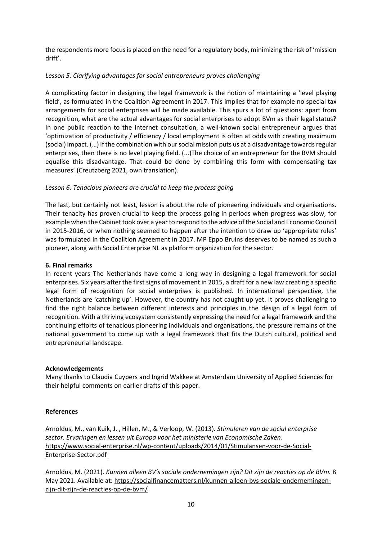the respondents more focus is placed on the need for a regulatory body, minimizing the risk of 'mission drift'.

### *Lesson 5. Clarifying advantages for social entrepreneurs proves challenging*

A complicating factor in designing the legal framework is the notion of maintaining a 'level playing field', as formulated in the Coalition Agreement in 2017. This implies that for example no special tax arrangements for social enterprises will be made available. This spurs a lot of questions: apart from recognition, what are the actual advantages for social enterprises to adopt BVm as their legal status? In one public reaction to the internet consultation, a well-known social entrepreneur argues that 'optimization of productivity / efficiency / local employment is often at odds with creating maximum (social) impact. (…) If the combination with our social mission puts us at a disadvantage towards regular enterprises, then there is no level playing field. (...)The choice of an entrepreneur for the BVM should equalise this disadvantage. That could be done by combining this form with compensating tax measures' (Creutzberg 2021, own translation).

### *Lesson 6. Tenacious pioneers are crucial to keep the process going*

The last, but certainly not least, lesson is about the role of pioneering individuals and organisations. Their tenacity has proven crucial to keep the process going in periods when progress was slow, for example when the Cabinet took over a year to respond to the advice of the Social and Economic Council in 2015-2016, or when nothing seemed to happen after the intention to draw up 'appropriate rules' was formulated in the Coalition Agreement in 2017. MP Eppo Bruins deserves to be named as such a pioneer, along with Social Enterprise NL as platform organization for the sector.

### **6. Final remarks**

In recent years The Netherlands have come a long way in designing a legal framework for social enterprises. Six years after the first signs of movement in 2015, a draft for a new law creating a specific legal form of recognition for social enterprises is published. In international perspective, the Netherlands are 'catching up'. However, the country has not caught up yet. It proves challenging to find the right balance between different interests and principles in the design of a legal form of recognition. With a thriving ecosystem consistently expressing the need for a legal framework and the continuing efforts of tenacious pioneering individuals and organisations, the pressure remains of the national government to come up with a legal framework that fits the Dutch cultural, political and entrepreneurial landscape.

### **Acknowledgements**

Many thanks to Claudia Cuypers and Ingrid Wakkee at Amsterdam University of Applied Sciences for their helpful comments on earlier drafts of this paper.

### **References**

Arnoldus, M., van Kuik, J. , Hillen, M., & Verloop, W. (2013). *Stimuleren van de social enterprise sector. Ervaringen en lessen uit Europa voor het ministerie van Economische Zaken*. [https://www.social-enterprise.nl/wp-content/uploads/2014/01/Stimulansen-voor-de-Social-](about:blank)[Enterprise-Sector.pdf](about:blank)

Arnoldus, M. (2021). *Kunnen alleen BV's sociale ondernemingen zijn? Dit zijn de reacties op de BVm.* 8 May 2021. Available at: [https://socialfinancematters.nl/kunnen-alleen-bvs-sociale-ondernemingen](https://socialfinancematters.nl/kunnen-alleen-bvs-sociale-ondernemingen-zijn-dit-zijn-de-reacties-op-de-bvm/)[zijn-dit-zijn-de-reacties-op-de-bvm/](https://socialfinancematters.nl/kunnen-alleen-bvs-sociale-ondernemingen-zijn-dit-zijn-de-reacties-op-de-bvm/)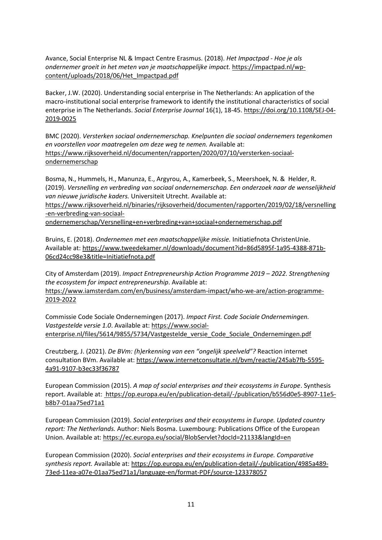Avance, Social Enterprise NL & Impact Centre Erasmus. (2018). *Het Impactpad - Hoe je als ondernemer groeit in het meten van je maatschappelijke impact.* [https://impactpad.nl/wp](about:blank)[content/uploads/2018/06/Het\\_Impactpad.pdf](about:blank)

Backer, J.W. (2020). Understanding social enterprise in The Netherlands: An application of the macro-institutional social enterprise framework to identify the institutional characteristics of social enterprise in The Netherlands. *Social Enterprise Journal* 16(1), 18-45. [https://doi.org/10.1108/SEJ-04-](about:blank) [2019-0025](about:blank)

BMC (2020). *Versterken sociaal ondernemerschap. Knelpunten die sociaal ondernemers tegenkomen en voorstellen voor maatregelen om deze weg te nemen.* Available at: [https://www.rijksoverheid.nl/documenten/rapporten/2020/07/10/versterken-sociaal](about:blank)[ondernemerschap](about:blank)

Bosma, N., Hummels, H., Manunza, E., Argyrou, A., Kamerbeek, S., Meershoek, N. & Helder, R. (2019). *Versnelling en verbreding van sociaal ondernemerschap. Een onderzoek naar de wenselijkheid van nieuwe juridische kaders.* Universiteit Utrecht. Available at:

[https://www.rijksoverheid.nl/binaries/rijksoverheid/documenten/rapporten/2019/02/18/versnelling](about:blank) [-en-verbreding-van-sociaal-](about:blank)

[ondernemerschap/Versnelling+en+verbreding+van+sociaal+ondernemerschap.pdf](about:blank)

Bruins, E. (2018). *Ondernemen met een maatschappelijke missie.* Initiatiefnota ChristenUnie. Available at: [https://www.tweedekamer.nl/downloads/document?id=86d5895f-1a95-4388-871b-](about:blank)[06cd24cc98e3&title=Initiatiefnota.pdf](about:blank)

City of Amsterdam (2019). *Impact Entrepreneurship Action Programme 2019 – 2022. Strengthening the ecosystem for impact entrepreneurship*. Available at: [https://www.iamsterdam.com/en/business/amsterdam-impact/who-we-are/action-programme-](about:blank)[2019-2022](about:blank)

Commissie Code Sociale Ondernemingen (2017). *Impact First. Code Sociale Ondernemingen. Vastgestelde versie 1.0*. Available at: [https://www.social](about:blank)[enterprise.nl/files/5614/9855/5734/Vastgestelde\\_versie\\_Code\\_Sociale\\_Ondernemingen.pdf](about:blank)

Creutzberg, J. (2021). *De BVm: (h)erkenning van een "ongelijk speelveld"?* Reaction internet consultation BVm. Available at: [https://www.internetconsultatie.nl/bvm/reactie/245ab7fb-5595-](about:blank) [4a91-9107-b3ec33f36787](about:blank)

European Commission (2015). *A map of social enterprises and their ecosystems in Europe*. Synthesis report. Available at: https://op.europa.eu/en/publication-detail/-/publication/b556d0e5-8907-11e5 b8b7-01aa75ed71a1

European Commission (2019). *Social enterprises and their ecosystems in Europe. Updated country report: The Netherlands.* Author: Niels Bosma. Luxembourg: Publications Office of the European Union. Available at[: https://ec.europa.eu/social/BlobServlet?docId=21133&langId=en](about:blank)

European Commission (2020). *Social enterprises and their ecosystems in Europe. Comparative synthesis report.* Available at[: https://op.europa.eu/en/publication-detail/-/publication/4985a489-](about:blank) [73ed-11ea-a07e-01aa75ed71a1/language-en/format-PDF/source-123378057](about:blank)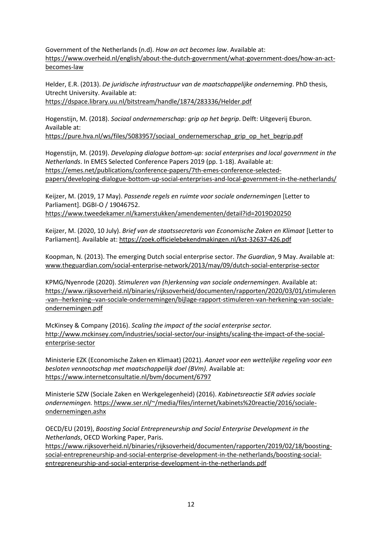Government of the Netherlands (n.d). *How an act becomes law*. Available at: [https://www.overheid.nl/english/about-the-dutch-government/what-government-does/how-an-act](about:blank)[becomes-law](about:blank)

Helder, E.R. (2013). *De juridische infrastructuur van de maatschappelijke onderneming*. PhD thesis, Utrecht University. Available at: [https://dspace.library.uu.nl/bitstream/handle/1874/283336/Helder.pdf](about:blank)

Hogenstijn, M. (2018). *Sociaal ondernemerschap: grip op het begrip*. Delft: Uitgeverij Eburon. Available at:

[https://pure.hva.nl/ws/files/5083957/sociaal\\_ondernemerschap\\_grip\\_op\\_het\\_begrip.pdf](about:blank)

Hogenstijn, M. (2019). *Developing dialogue bottom-up: social enterprises and local government in the Netherlands*. In EMES Selected Conference Papers 2019 (pp. 1-18). Available at: [https://emes.net/publications/conference-papers/7th-emes-conference-selected](about:blank)[papers/developing-dialogue-bottom-up-social-enterprises-and-local-government-in-the-netherlands/](about:blank)

Keijzer, M. (2019, 17 May). *Passende regels en ruimte voor sociale ondernemingen* [Letter to Parliament]. DGBI-O / 19046752. [https://www.tweedekamer.nl/kamerstukken/amendementen/detail?id=2019D20250](about:blank)

Keijzer, M. (2020, 10 July). *Brief van de staatssecretaris van Economische Zaken en Klimaat* [Letter to Parliament]. Available at: [https://zoek.officielebekendmakingen.nl/kst-32637-426.pdf](about:blank)

Koopman, N. (2013). The emerging Dutch social enterprise sector. *The Guardian*, 9 May. Available at: [www.theguardian.com/social-enterprise-network/2013/may/09/dutch-social-enterprise-sector](about:blank)

KPMG/Nyenrode (2020). *Stimuleren van (h)erkenning van sociale ondernemingen*. Available at: [https://www.rijksoverheid.nl/binaries/rijksoverheid/documenten/rapporten/2020/03/01/stimuleren](about:blank) [-van--herkening--van-sociale-ondernemingen/bijlage-rapport-stimuleren-van-herkening-van-sociale](about:blank)[ondernemingen.pdf](about:blank)

McKinsey & Company (2016). *Scaling the impact of the social enterprise sector.* [http://www.mckinsey.com/industries/social-sector/our-insights/scaling-the-impact-of-the-social](about:blank)[enterprise-sector](about:blank)

Ministerie EZK (Economische Zaken en Klimaat) (2021). *Aanzet voor een wettelijke regeling voor een besloten vennootschap met maatschappelijk doel (BVm).* Available at: [https://www.internetconsultatie.nl/bvm/document/6797](about:blank)

Ministerie SZW (Sociale Zaken en Werkgelegenheid) (2016). *Kabinetsreactie SER advies sociale ondernemingen.* [https://www.ser.nl/~/media/files/internet/kabinets%20reactie/2016/sociale](about:blank)[ondernemingen.ashx](about:blank)

OECD/EU (2019), *Boosting Social Entrepreneurship and Social Enterprise Development in the Netherlands*, OECD Working Paper, Paris.

[https://www.rijksoverheid.nl/binaries/rijksoverheid/documenten/rapporten/2019/02/18/boosting](about:blank)[social-entrepreneurship-and-social-enterprise-development-in-the-netherlands/boosting-social](about:blank)[entrepreneurship-and-social-enterprise-development-in-the-netherlands.pdf](about:blank)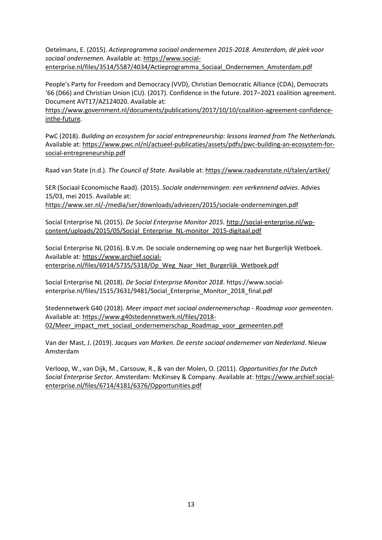Oetelmans, E. (2015). *Actieprogramma sociaal ondernemen 2015-2018. Amsterdam, dé plek voor sociaal ondernemen.* Available at: [https://www.social](about:blank)[enterprise.nl/files/3514/5587/4034/Actieprogramma\\_Sociaal\\_Ondernemen\\_Amsterdam.pdf](about:blank)

People's Party for Freedom and Democracy (VVD), Christian Democratic Alliance (CDA), Democrats '66 (D66) and Christian Union (CU). (2017). Confidence in the future. 2017–2021 coalition agreement. Document AVT17/AZ124020. Available at:

[https://www.government.nl/documents/publications/2017/10/10/coalition-agreement-confidence](https://www.government.nl/documents/publications/2017/10/10/coalition-agreement-confidence-inthe-future)[inthe-future.](https://www.government.nl/documents/publications/2017/10/10/coalition-agreement-confidence-inthe-future)

PwC (2018). *Building an ecosystem for social entrepreneurship: lessons learned from The Netherlands.* Available at: [https://www.pwc.nl/nl/actueel-publicaties/assets/pdfs/pwc-building-an-ecosystem-for](about:blank)[social-entrepreneurship.pdf](about:blank)

Raad van State (n.d.). *The Council of State.* Available at: [https://www.raadvanstate.nl/talen/artikel/](about:blank)

SER (Sociaal Economische Raad). (2015). *Sociale ondernemingen: een verkennend advies*. Advies 15/03, mei 2015. Available at:

[https://www.ser.nl/-/media/ser/downloads/adviezen/2015/sociale-ondernemingen.pdf](about:blank)

Social Enterprise NL (2015). *De Social Enterprise Monitor 2015.* [http://social-enterprise.nl/wp](about:blank)[content/uploads/2015/05/Social\\_Enterprise\\_NL-monitor\\_2015-digitaal.pdf](about:blank)

Social Enterprise NL (2016). B.V.m. De sociale onderneming op weg naar het Burgerlijk Wetboek. Available at: [https://www.archief.social](about:blank)[enterprise.nl/files/6914/5735/5318/Op\\_Weg\\_Naar\\_Het\\_Burgerlijk\\_Wetboek.pdf](about:blank)

Social Enterprise NL (2018). *De Social Enterprise Monitor 2018*. https://www.socialenterprise.nl/files/1515/3631/9481/Social Enterprise Monitor 2018 final.pdf

Stedennetwerk G40 (2018). *Meer impact met sociaal ondernemerschap - Roadmap voor gemeenten*. Available at: [https://www.g40stedennetwerk.nl/files/2018-](about:blank) [02/Meer\\_impact\\_met\\_sociaal\\_ondernemerschap\\_Roadmap\\_voor\\_gemeenten.pdf](about:blank)

Van der Mast, J. (2019). *Jacques van Marken. De eerste sociaal ondernemer van Nederland*. Nieuw Amsterdam

Verloop, W., van Dijk, M., Carsouw, R., & van der Molen, O. (2011). *Opportunities for the Dutch Social Enterprise Sector.* Amsterdam: McKinsey & Company. Available at: [https://www.archief.social](about:blank)[enterprise.nl/files/6714/4181/6376/Opportunities.pdf](about:blank)